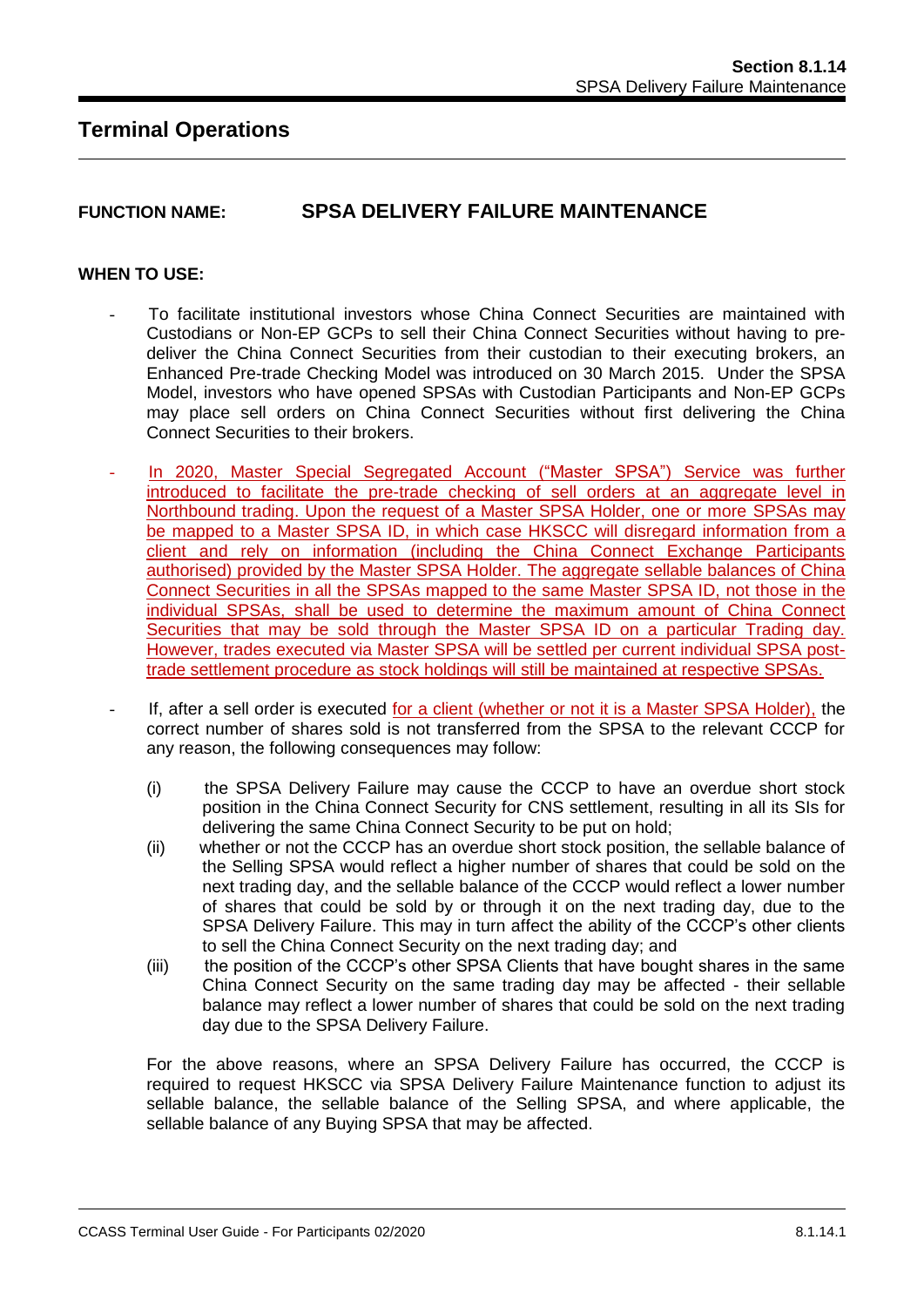# **FUNCTION NAME: SPSA DELIVERY FAILURE MAINTENANCE**

### **WHEN TO USE:**

- To facilitate institutional investors whose China Connect Securities are maintained with Custodians or Non-EP GCPs to sell their China Connect Securities without having to predeliver the China Connect Securities from their custodian to their executing brokers, an Enhanced Pre-trade Checking Model was introduced on 30 March 2015. Under the SPSA Model, investors who have opened SPSAs with Custodian Participants and Non-EP GCPs may place sell orders on China Connect Securities without first delivering the China Connect Securities to their brokers.
- In 2020, Master Special Segregated Account ("Master SPSA") Service was further introduced to facilitate the pre-trade checking of sell orders at an aggregate level in Northbound trading. Upon the request of a Master SPSA Holder, one or more SPSAs may be mapped to a Master SPSA ID, in which case HKSCC will disregard information from a client and rely on information (including the China Connect Exchange Participants authorised) provided by the Master SPSA Holder. The aggregate sellable balances of China Connect Securities in all the SPSAs mapped to the same Master SPSA ID, not those in the individual SPSAs, shall be used to determine the maximum amount of China Connect Securities that may be sold through the Master SPSA ID on a particular Trading day. However, trades executed via Master SPSA will be settled per current individual SPSA posttrade settlement procedure as stock holdings will still be maintained at respective SPSAs.
- If, after a sell order is executed for a client (whether or not it is a Master SPSA Holder), the correct number of shares sold is not transferred from the SPSA to the relevant CCCP for any reason, the following consequences may follow:
	- (i) the SPSA Delivery Failure may cause the CCCP to have an overdue short stock position in the China Connect Security for CNS settlement, resulting in all its SIs for delivering the same China Connect Security to be put on hold;
	- (ii) whether or not the CCCP has an overdue short stock position, the sellable balance of the Selling SPSA would reflect a higher number of shares that could be sold on the next trading day, and the sellable balance of the CCCP would reflect a lower number of shares that could be sold by or through it on the next trading day, due to the SPSA Delivery Failure. This may in turn affect the ability of the CCCP's other clients to sell the China Connect Security on the next trading day; and
	- (iii) the position of the CCCP's other SPSA Clients that have bought shares in the same China Connect Security on the same trading day may be affected - their sellable balance may reflect a lower number of shares that could be sold on the next trading day due to the SPSA Delivery Failure.

For the above reasons, where an SPSA Delivery Failure has occurred, the CCCP is required to request HKSCC via SPSA Delivery Failure Maintenance function to adjust its sellable balance, the sellable balance of the Selling SPSA, and where applicable, the sellable balance of any Buying SPSA that may be affected.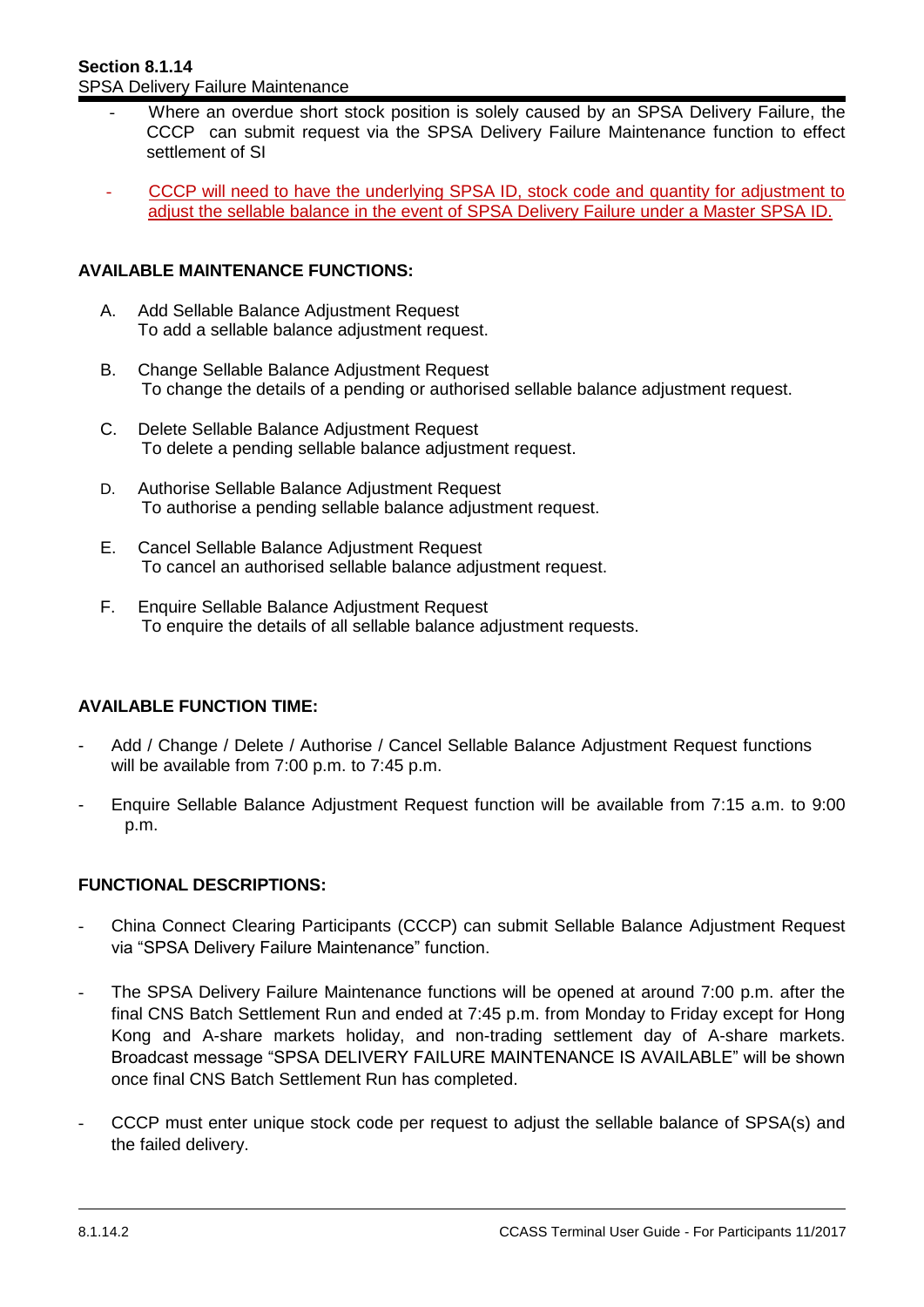- Where an overdue short stock position is solely caused by an SPSA Delivery Failure, the CCCP can submit request via the SPSA Delivery Failure Maintenance function to effect settlement of SI
- CCCP will need to have the underlying SPSA ID, stock code and quantity for adjustment to adjust the sellable balance in the event of SPSA Delivery Failure under a Master SPSA ID.

### **AVAILABLE MAINTENANCE FUNCTIONS:**

- A. Add Sellable Balance Adjustment Request To add a sellable balance adjustment request.
- B. Change Sellable Balance Adjustment Request To change the details of a pending or authorised sellable balance adjustment request.
- C. Delete Sellable Balance Adjustment Request To delete a pending sellable balance adjustment request.
- D. Authorise Sellable Balance Adjustment Request To authorise a pending sellable balance adjustment request.
- E. Cancel Sellable Balance Adjustment Request To cancel an authorised sellable balance adjustment request.
- F. Enquire Sellable Balance Adjustment Request To enquire the details of all sellable balance adjustment requests.

### **AVAILABLE FUNCTION TIME:**

- Add / Change / Delete / Authorise / Cancel Sellable Balance Adjustment Request functions will be available from 7:00 p.m. to 7:45 p.m.
- Enquire Sellable Balance Adjustment Request function will be available from 7:15 a.m. to 9:00 p.m.

### **FUNCTIONAL DESCRIPTIONS:**

- China Connect Clearing Participants (CCCP) can submit Sellable Balance Adjustment Request via "SPSA Delivery Failure Maintenance" function.
- The SPSA Delivery Failure Maintenance functions will be opened at around 7:00 p.m. after the final CNS Batch Settlement Run and ended at 7:45 p.m. from Monday to Friday except for Hong Kong and A-share markets holiday, and non-trading settlement day of A-share markets. Broadcast message "SPSA DELIVERY FAILURE MAINTENANCE IS AVAILABLE" will be shown once final CNS Batch Settlement Run has completed.
- CCCP must enter unique stock code per request to adjust the sellable balance of SPSA(s) and the failed delivery.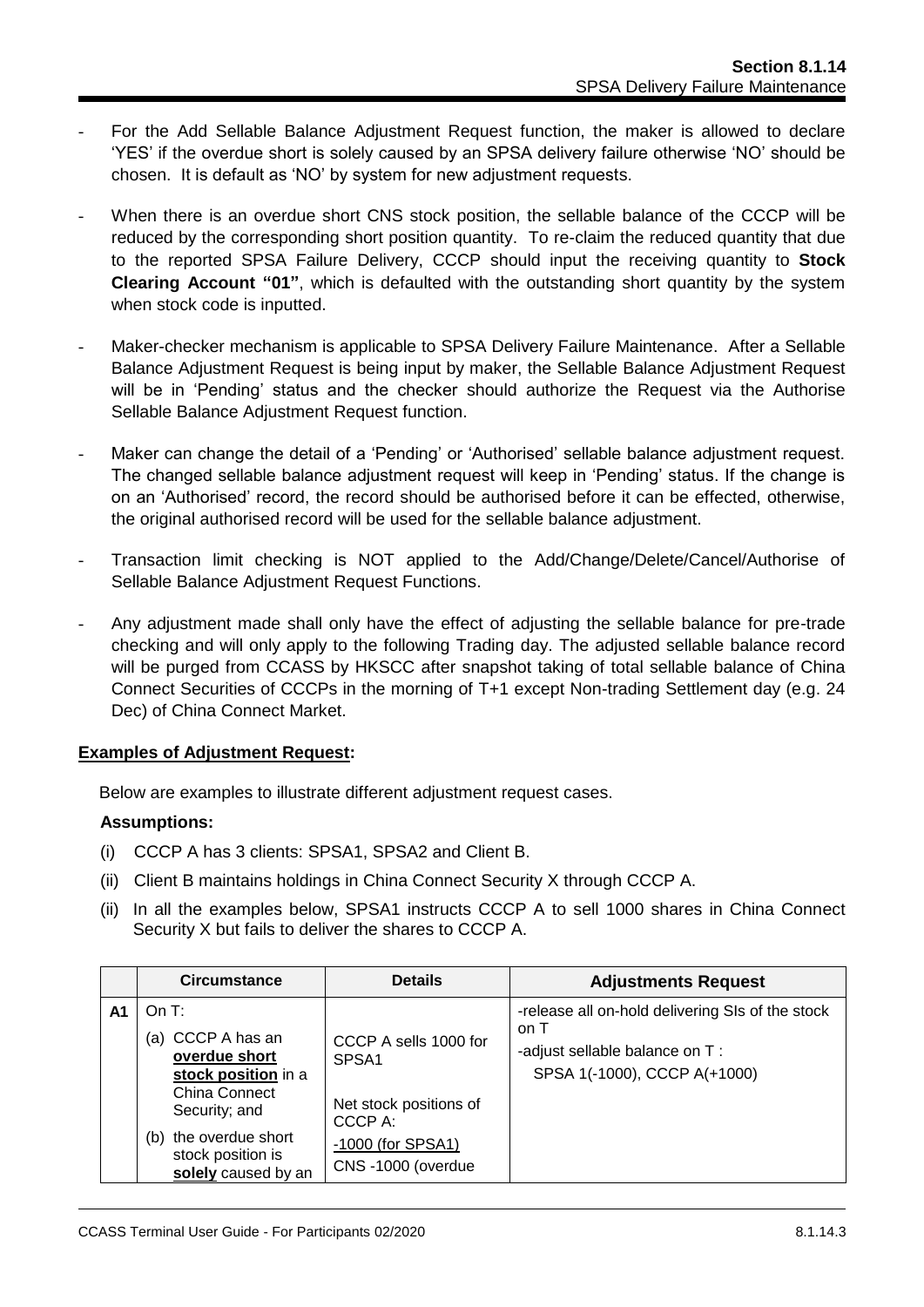- For the Add Sellable Balance Adjustment Request function, the maker is allowed to declare 'YES' if the overdue short is solely caused by an SPSA delivery failure otherwise 'NO' should be chosen. It is default as 'NO' by system for new adjustment requests.
- When there is an overdue short CNS stock position, the sellable balance of the CCCP will be reduced by the corresponding short position quantity. To re-claim the reduced quantity that due to the reported SPSA Failure Delivery, CCCP should input the receiving quantity to **Stock Clearing Account "01"**, which is defaulted with the outstanding short quantity by the system when stock code is inputted.
- Maker-checker mechanism is applicable to SPSA Delivery Failure Maintenance. After a Sellable Balance Adjustment Request is being input by maker, the Sellable Balance Adjustment Request will be in 'Pending' status and the checker should authorize the Request via the Authorise Sellable Balance Adjustment Request function.
- Maker can change the detail of a 'Pending' or 'Authorised' sellable balance adjustment request. The changed sellable balance adjustment request will keep in 'Pending' status. If the change is on an 'Authorised' record, the record should be authorised before it can be effected, otherwise, the original authorised record will be used for the sellable balance adjustment.
- Transaction limit checking is NOT applied to the Add/Change/Delete/Cancel/Authorise of Sellable Balance Adjustment Request Functions.
- Any adjustment made shall only have the effect of adjusting the sellable balance for pre-trade checking and will only apply to the following Trading day. The adjusted sellable balance record will be purged from CCASS by HKSCC after snapshot taking of total sellable balance of China Connect Securities of CCCPs in the morning of T+1 except Non-trading Settlement day (e.g. 24 Dec) of China Connect Market.

### **Examples of Adjustment Request:**

Below are examples to illustrate different adjustment request cases.

### **Assumptions:**

- (i) CCCP A has 3 clients: SPSA1, SPSA2 and Client B.
- (ii) Client B maintains holdings in China Connect Security X through CCCP A.
- (ii) In all the examples below, SPSA1 instructs CCCP A to sell 1000 shares in China Connect Security X but fails to deliver the shares to CCCP A.

|    | <b>Circumstance</b>                                                                                                                                                          | <b>Details</b>                                                                                                            | <b>Adjustments Request</b>                                                                                                 |
|----|------------------------------------------------------------------------------------------------------------------------------------------------------------------------------|---------------------------------------------------------------------------------------------------------------------------|----------------------------------------------------------------------------------------------------------------------------|
| A1 | On T:<br>(a) CCCP A has an<br>overdue short<br>stock position in a<br>China Connect<br>Security; and<br>the overdue short<br>(b)<br>stock position is<br>solely caused by an | CCCP A sells 1000 for<br>SPSA <sub>1</sub><br>Net stock positions of<br>CCCP A:<br>-1000 (for SPSA1)<br>CNS-1000 (overdue | -release all on-hold delivering SIs of the stock<br>on T<br>-adjust sellable balance on T:<br>SPSA 1(-1000), CCCP A(+1000) |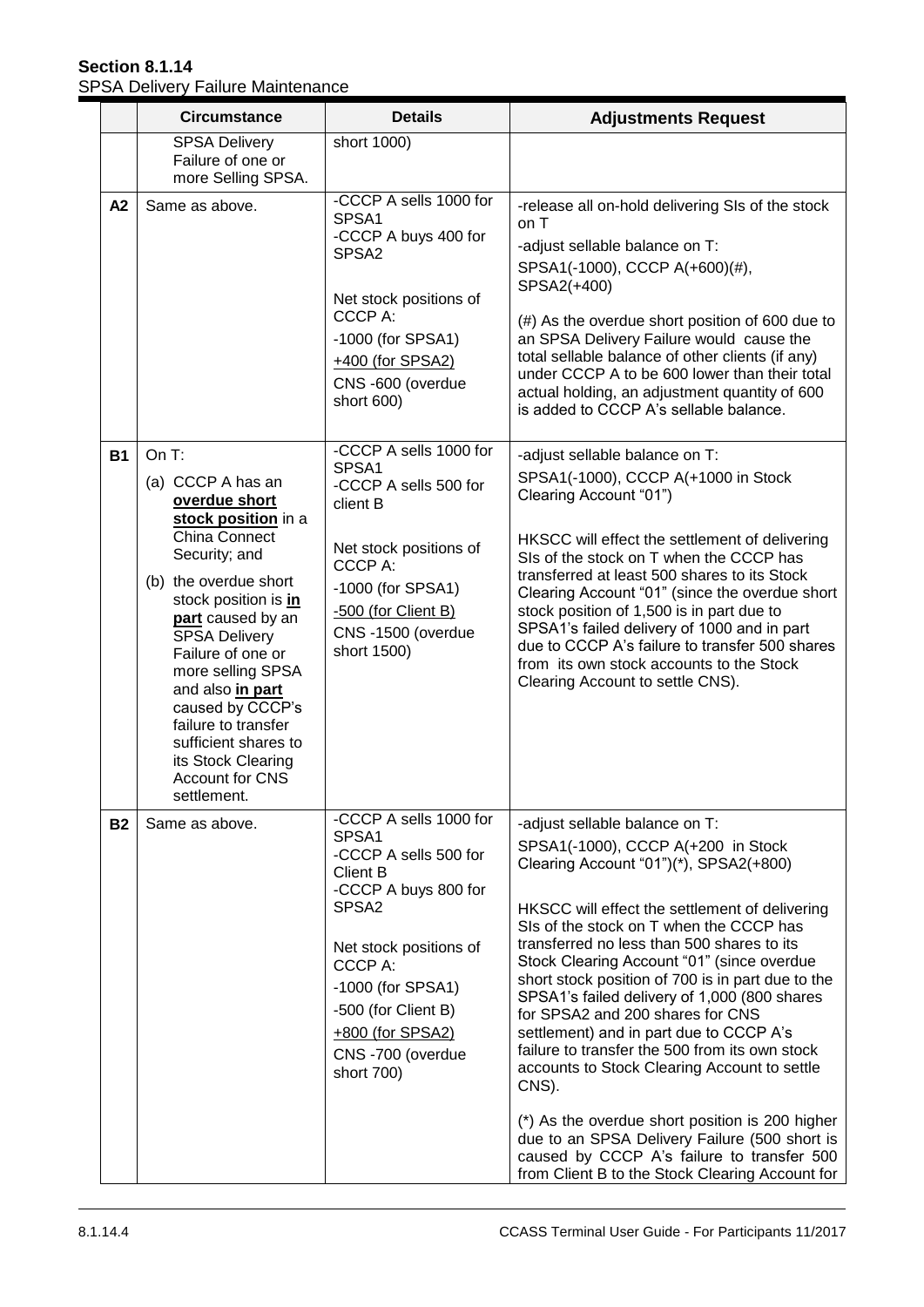## **Section 8.1.14** SPSA Delivery Failure Maintenance

|           | <b>Circumstance</b>                                                                                                                                                                                                                                                                                                                                                                                          | <b>Details</b>                                                                                                                                                                                                                                                  | <b>Adjustments Request</b>                                                                                                                                                                                                                                                                                                                                                                                                                                                                                                                                                                                                                                                                                                                                                                                  |
|-----------|--------------------------------------------------------------------------------------------------------------------------------------------------------------------------------------------------------------------------------------------------------------------------------------------------------------------------------------------------------------------------------------------------------------|-----------------------------------------------------------------------------------------------------------------------------------------------------------------------------------------------------------------------------------------------------------------|-------------------------------------------------------------------------------------------------------------------------------------------------------------------------------------------------------------------------------------------------------------------------------------------------------------------------------------------------------------------------------------------------------------------------------------------------------------------------------------------------------------------------------------------------------------------------------------------------------------------------------------------------------------------------------------------------------------------------------------------------------------------------------------------------------------|
|           | <b>SPSA Delivery</b><br>Failure of one or<br>more Selling SPSA.                                                                                                                                                                                                                                                                                                                                              | short 1000)                                                                                                                                                                                                                                                     |                                                                                                                                                                                                                                                                                                                                                                                                                                                                                                                                                                                                                                                                                                                                                                                                             |
| A2        | Same as above.                                                                                                                                                                                                                                                                                                                                                                                               | -CCCP A sells 1000 for<br>SPSA1<br>-CCCP A buys 400 for<br>SPSA <sub>2</sub><br>Net stock positions of<br>CCCP A:<br>-1000 (for SPSA1)<br>+400 (for SPSA2)<br>CNS-600 (overdue<br>short 600)                                                                    | -release all on-hold delivering SIs of the stock<br>on T<br>-adjust sellable balance on T:<br>SPSA1(-1000), CCCP A(+600)(#),<br>SPSA2(+400)<br>(#) As the overdue short position of 600 due to<br>an SPSA Delivery Failure would cause the<br>total sellable balance of other clients (if any)<br>under CCCP A to be 600 lower than their total<br>actual holding, an adjustment quantity of 600<br>is added to CCCP A's sellable balance.                                                                                                                                                                                                                                                                                                                                                                  |
| <b>B1</b> | On $T$ :<br>(a) CCCP A has an<br>overdue short<br>stock position in a<br><b>China Connect</b><br>Security; and<br>(b) the overdue short<br>stock position is in<br>part caused by an<br><b>SPSA Delivery</b><br>Failure of one or<br>more selling SPSA<br>and also in part<br>caused by CCCP's<br>failure to transfer<br>sufficient shares to<br>its Stock Clearing<br><b>Account for CNS</b><br>settlement. | -CCCP A sells 1000 for<br>SPSA1<br>-CCCP A sells 500 for<br>client B<br>Net stock positions of<br>CCCP A:<br>-1000 (for SPSA1)<br>-500 (for Client B)<br>CNS-1500 (overdue<br>short 1500)                                                                       | -adjust sellable balance on T:<br>SPSA1(-1000), CCCP A(+1000 in Stock<br>Clearing Account "01")<br>HKSCC will effect the settlement of delivering<br>SIs of the stock on T when the CCCP has<br>transferred at least 500 shares to its Stock<br>Clearing Account "01" (since the overdue short<br>stock position of 1,500 is in part due to<br>SPSA1's failed delivery of 1000 and in part<br>due to CCCP A's failure to transfer 500 shares<br>from its own stock accounts to the Stock<br>Clearing Account to settle CNS).                                                                                                                                                                                                                                                                                |
| <b>B2</b> | Same as above.                                                                                                                                                                                                                                                                                                                                                                                               | -CCCP A sells 1000 for<br>SPSA1<br>-CCCP A sells 500 for<br><b>Client B</b><br>-CCCP A buys 800 for<br>SPSA <sub>2</sub><br>Net stock positions of<br>CCCP A:<br>-1000 (for SPSA1)<br>-500 (for Client B)<br>+800 (for SPSA2)<br>CNS-700 (overdue<br>short 700) | -adjust sellable balance on T:<br>SPSA1(-1000), CCCP A(+200 in Stock<br>Clearing Account "01")(*), SPSA2(+800)<br>HKSCC will effect the settlement of delivering<br>SIs of the stock on T when the CCCP has<br>transferred no less than 500 shares to its<br>Stock Clearing Account "01" (since overdue<br>short stock position of 700 is in part due to the<br>SPSA1's failed delivery of 1,000 (800 shares<br>for SPSA2 and 200 shares for CNS<br>settlement) and in part due to CCCP A's<br>failure to transfer the 500 from its own stock<br>accounts to Stock Clearing Account to settle<br>CNS).<br>(*) As the overdue short position is 200 higher<br>due to an SPSA Delivery Failure (500 short is<br>caused by CCCP A's failure to transfer 500<br>from Client B to the Stock Clearing Account for |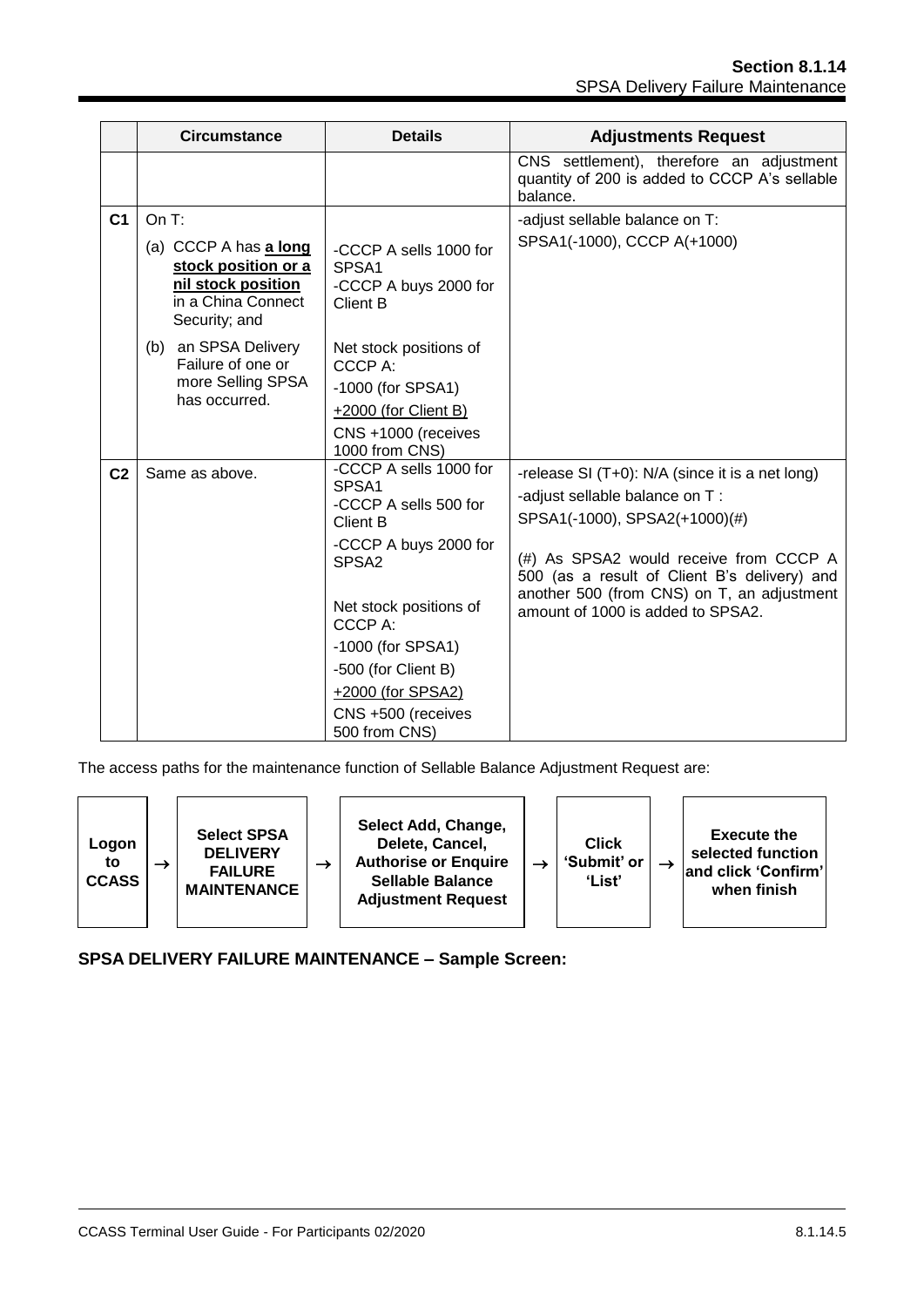|                | <b>Circumstance</b>                                                                                                                              | <b>Details</b>                                                                                                                                                                                                                                                         | <b>Adjustments Request</b>                                                                                                                                                                                                                                                                      |
|----------------|--------------------------------------------------------------------------------------------------------------------------------------------------|------------------------------------------------------------------------------------------------------------------------------------------------------------------------------------------------------------------------------------------------------------------------|-------------------------------------------------------------------------------------------------------------------------------------------------------------------------------------------------------------------------------------------------------------------------------------------------|
|                |                                                                                                                                                  |                                                                                                                                                                                                                                                                        | CNS settlement), therefore an adjustment<br>quantity of 200 is added to CCCP A's sellable<br>balance.                                                                                                                                                                                           |
| C <sub>1</sub> | On $T$ :<br>(a) CCCP A has a long<br>stock position or a<br>nil stock position<br>in a China Connect<br>Security; and<br>an SPSA Delivery<br>(b) | -CCCP A sells 1000 for<br>SPSA <sub>1</sub><br>-CCCP A buys 2000 for<br><b>Client B</b><br>Net stock positions of                                                                                                                                                      | -adjust sellable balance on T:<br>SPSA1(-1000), CCCP A(+1000)                                                                                                                                                                                                                                   |
|                | Failure of one or<br>more Selling SPSA<br>has occurred.                                                                                          | CCCP A:<br>-1000 (for SPSA1)<br>+2000 (for Client B)<br>CNS +1000 (receives<br>1000 from CNS)                                                                                                                                                                          |                                                                                                                                                                                                                                                                                                 |
| C <sub>2</sub> | Same as above.                                                                                                                                   | -CCCP A sells 1000 for<br>SPSA1<br>-CCCP A sells 500 for<br><b>Client B</b><br>-CCCP A buys 2000 for<br>SPSA <sub>2</sub><br>Net stock positions of<br>CCCP A:<br>-1000 (for SPSA1)<br>-500 (for Client B)<br>+2000 (for SPSA2)<br>CNS +500 (receives<br>500 from CNS) | -release SI (T+0): N/A (since it is a net long)<br>-adjust sellable balance on T:<br>SPSA1(-1000), SPSA2(+1000)(#)<br>(#) As SPSA2 would receive from CCCP A<br>500 (as a result of Client B's delivery) and<br>another 500 (from CNS) on T, an adjustment<br>amount of 1000 is added to SPSA2. |

The access paths for the maintenance function of Sellable Balance Adjustment Request are:



**SPSA DELIVERY FAILURE MAINTENANCE – Sample Screen:**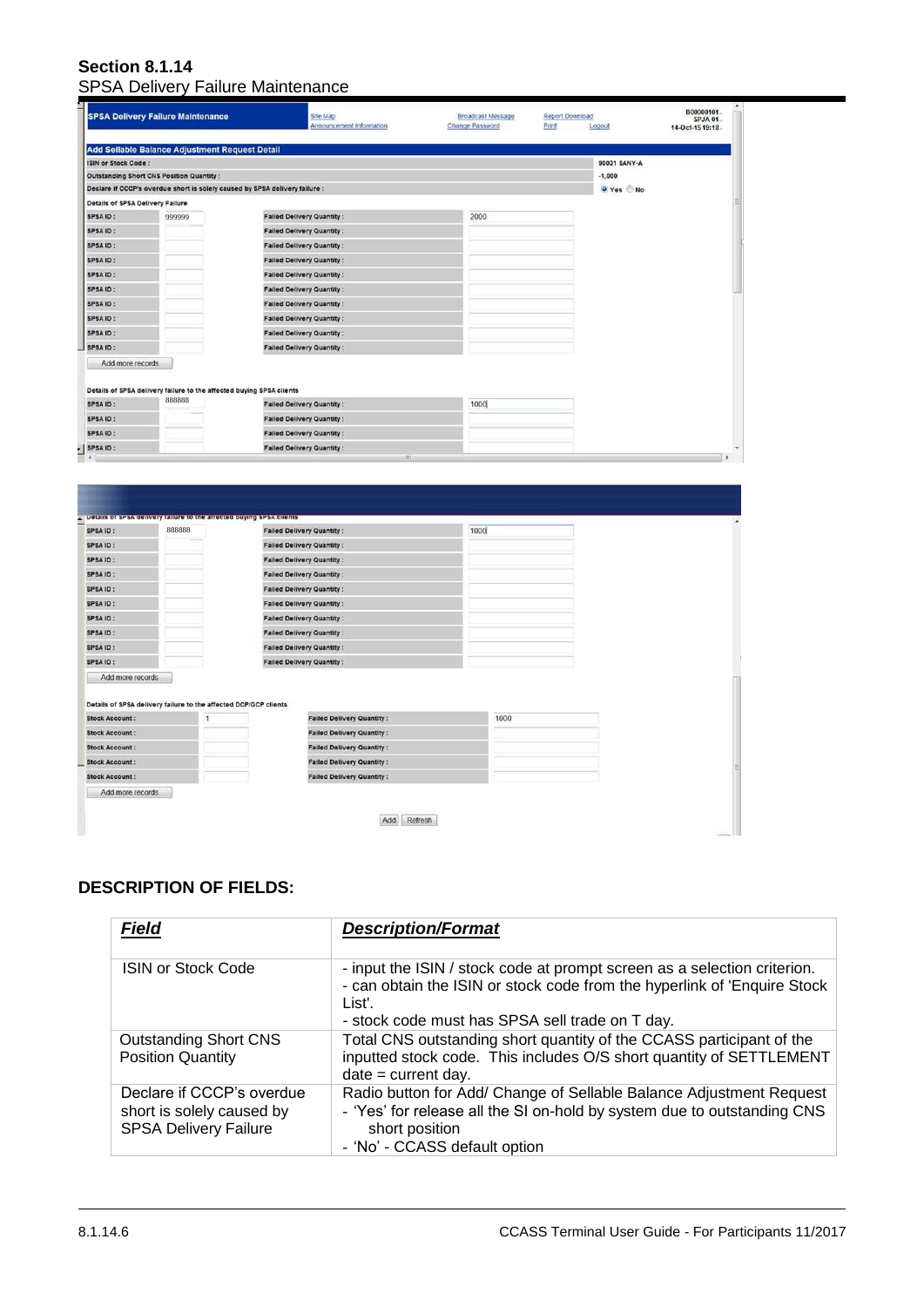#### **Section 8.1.14** SPSA Delivery Failure Maintenance

|                                                                                                                                                                                                                                                              | <b>SPSA Delivery Failure Maintenance</b>                                       | Site Map<br>Announcement Information  | Broadcast Message<br><b>Change Password</b> | Report Download<br>Print<br>Logout | B00000101.<br>SPJA 01.<br>14-Oct-15 19:18. |
|--------------------------------------------------------------------------------------------------------------------------------------------------------------------------------------------------------------------------------------------------------------|--------------------------------------------------------------------------------|---------------------------------------|---------------------------------------------|------------------------------------|--------------------------------------------|
|                                                                                                                                                                                                                                                              | Add Sellable Balance Adjustment Request Detail                                 |                                       |                                             |                                    |                                            |
| ISIN or Stock Code :                                                                                                                                                                                                                                         |                                                                                |                                       |                                             | 90031 SANY-A                       |                                            |
| <b>Outstanding Short CNS Position Quantity:</b>                                                                                                                                                                                                              |                                                                                |                                       |                                             | $-1,000$                           |                                            |
|                                                                                                                                                                                                                                                              | Declare if CCCP's overdue short is solely caused by SPSA delivery failure :    |                                       |                                             | O Yes No                           |                                            |
| <b>Details of SPSA Delivery Failure</b>                                                                                                                                                                                                                      |                                                                                |                                       |                                             |                                    |                                            |
| SPSA ID:                                                                                                                                                                                                                                                     | 999999                                                                         | <b>Failed Delivery Quantity:</b>      | 2000                                        |                                    |                                            |
| SPSA ID:                                                                                                                                                                                                                                                     |                                                                                | <b>Failed Delivery Quantity:</b>      |                                             |                                    |                                            |
| SPSA ID:                                                                                                                                                                                                                                                     |                                                                                | <b>Failed Delivery Quantity:</b>      |                                             |                                    |                                            |
| SPSA ID:                                                                                                                                                                                                                                                     |                                                                                | <b>Failed Delivery Quantity:</b>      |                                             |                                    |                                            |
| SPSA ID:                                                                                                                                                                                                                                                     |                                                                                | <b>Failed Delivery Quantity:</b>      |                                             |                                    |                                            |
| SPSA ID:                                                                                                                                                                                                                                                     |                                                                                | <b>Failed Delivery Quantity:</b>      |                                             |                                    |                                            |
| SPSA ID:                                                                                                                                                                                                                                                     |                                                                                | <b>Failed Delivery Quantity:</b>      |                                             |                                    |                                            |
| SPSA ID:                                                                                                                                                                                                                                                     |                                                                                | <b>Failed Delivery Quantity:</b>      |                                             |                                    |                                            |
| <b>SPSAID:</b>                                                                                                                                                                                                                                               |                                                                                | <b>Failed Delivery Quantity:</b>      |                                             |                                    |                                            |
| <b>SPSAID:</b>                                                                                                                                                                                                                                               |                                                                                | <b>Failed Delivery Quantity:</b>      |                                             |                                    |                                            |
| Add more records                                                                                                                                                                                                                                             |                                                                                |                                       |                                             |                                    |                                            |
|                                                                                                                                                                                                                                                              | Details of SPSA delivery failure to the affected buying SPSA clients           |                                       |                                             |                                    |                                            |
| <b>SPSAID:</b>                                                                                                                                                                                                                                               | 888888                                                                         | <b>Failed Delivery Quantity:</b>      | 1000                                        |                                    |                                            |
| SPSA ID:                                                                                                                                                                                                                                                     |                                                                                | <b>Failed Delivery Quantity:</b>      |                                             |                                    |                                            |
|                                                                                                                                                                                                                                                              |                                                                                |                                       |                                             |                                    |                                            |
| SPSA ID:                                                                                                                                                                                                                                                     |                                                                                | <b>Failed Delivery Quantity:</b>      |                                             |                                    |                                            |
| ×                                                                                                                                                                                                                                                            |                                                                                | <b>Failed Delivery Quantity:</b><br>щ |                                             |                                    |                                            |
|                                                                                                                                                                                                                                                              | Details of SPSA delivery failure to the affected buying SPSA cirents<br>888888 | <b>Failed Delivery Quantity:</b>      | 1000                                        |                                    |                                            |
|                                                                                                                                                                                                                                                              |                                                                                | <b>Failed Delivery Quantity:</b>      |                                             |                                    |                                            |
|                                                                                                                                                                                                                                                              |                                                                                | <b>Failed Delivery Quantity:</b>      |                                             |                                    |                                            |
|                                                                                                                                                                                                                                                              |                                                                                | <b>Failed Delivery Quantity:</b>      |                                             |                                    |                                            |
|                                                                                                                                                                                                                                                              |                                                                                | <b>Failed Delivery Quantity:</b>      |                                             |                                    |                                            |
|                                                                                                                                                                                                                                                              |                                                                                | <b>Failed Delivery Quantity:</b>      |                                             |                                    |                                            |
|                                                                                                                                                                                                                                                              |                                                                                | <b>Failed Delivery Quantity:</b>      |                                             |                                    |                                            |
|                                                                                                                                                                                                                                                              |                                                                                | <b>Failed Delivery Quantity:</b>      |                                             |                                    |                                            |
|                                                                                                                                                                                                                                                              |                                                                                | <b>Failed Delivery Quantity:</b>      |                                             |                                    |                                            |
| Add more records                                                                                                                                                                                                                                             |                                                                                | <b>Failed Delivery Quantity:</b>      |                                             |                                    |                                            |
|                                                                                                                                                                                                                                                              | Details of SPSA delivery failure to the affected DCP/GCP clients               |                                       |                                             |                                    |                                            |
|                                                                                                                                                                                                                                                              | 1                                                                              | <b>Failed Delivery Quantity:</b>      | 1000                                        |                                    |                                            |
|                                                                                                                                                                                                                                                              |                                                                                | <b>Failed Delivery Quantity:</b>      |                                             |                                    |                                            |
|                                                                                                                                                                                                                                                              |                                                                                | <b>Failed Delivery Quantity:</b>      |                                             |                                    |                                            |
| SPSA ID:<br><b>SPSAID:</b><br>SPSA ID:<br>SPSA ID:<br>SPSA ID:<br><b>SPSAID:</b><br>SPSA ID:<br>SPSA ID:<br><b>SPSAID:</b><br>SPSA ID:<br><b>SPSAID:</b><br><b>Stock Account:</b><br><b>Stock Account:</b><br><b>Stock Account:</b><br><b>Stock Account:</b> |                                                                                | <b>Failed Delivery Quantity:</b>      |                                             |                                    |                                            |

Add Refresh

### **DESCRIPTION OF FIELDS:**

| <b>Field</b>                                                                           | <b>Description/Format</b>                                                                                                                                                                                         |
|----------------------------------------------------------------------------------------|-------------------------------------------------------------------------------------------------------------------------------------------------------------------------------------------------------------------|
| <b>ISIN or Stock Code</b>                                                              | - input the ISIN / stock code at prompt screen as a selection criterion.<br>- can obtain the ISIN or stock code from the hyperlink of 'Enquire Stock<br>List'.<br>- stock code must has SPSA sell trade on T day. |
| <b>Outstanding Short CNS</b><br><b>Position Quantity</b>                               | Total CNS outstanding short quantity of the CCASS participant of the<br>inputted stock code. This includes O/S short quantity of SETTLEMENT<br>$date = current day.$                                              |
| Declare if CCCP's overdue<br>short is solely caused by<br><b>SPSA Delivery Failure</b> | Radio button for Add/ Change of Sellable Balance Adjustment Request<br>- 'Yes' for release all the SI on-hold by system due to outstanding CNS<br>short position<br>- 'No' - CCASS default option                 |